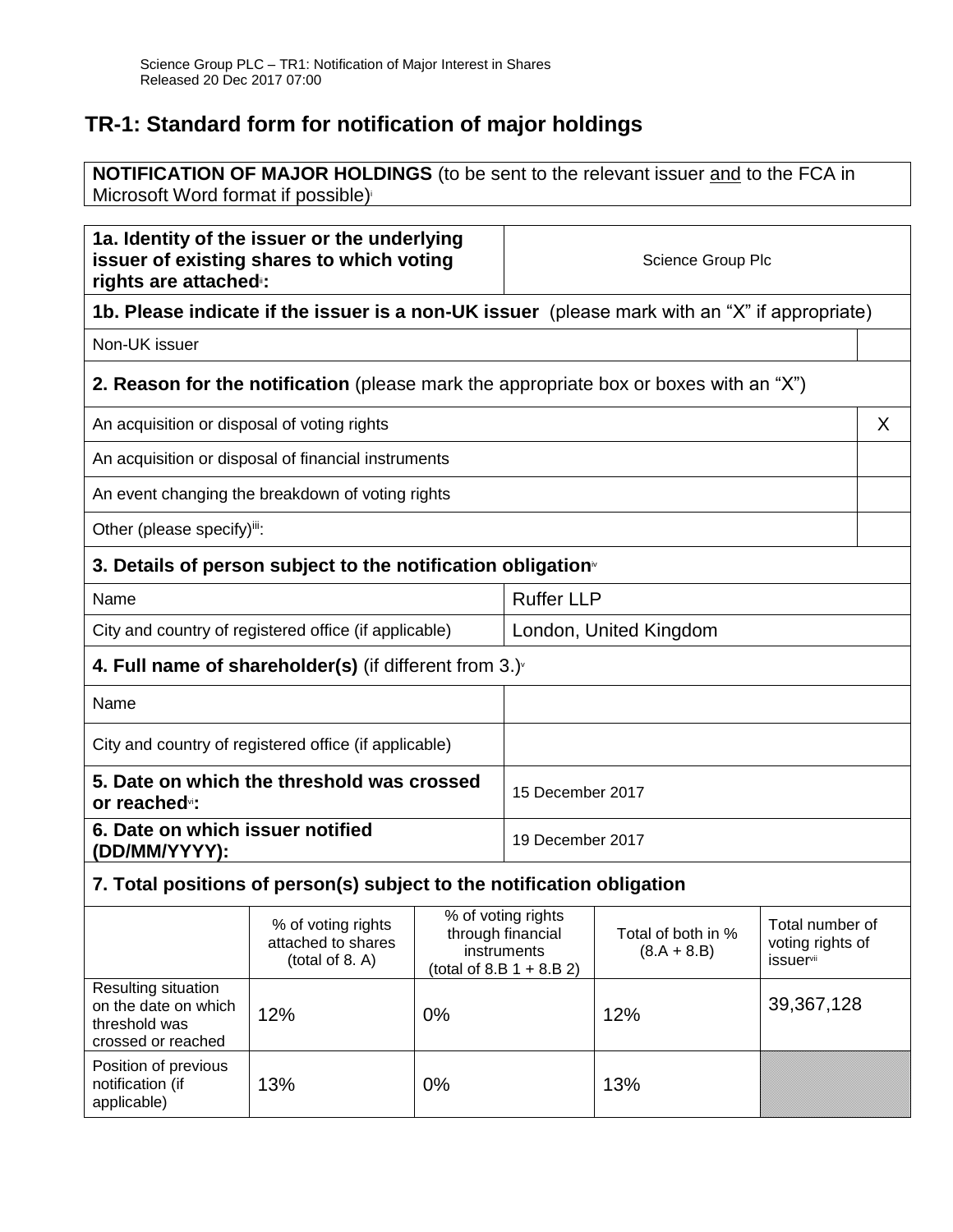# **TR-1: Standard form for notification of major holdings**

**NOTIFICATION OF MAJOR HOLDINGS** (to be sent to the relevant issuer and to the FCA in Microsoft Word format if possible) i

| 1a. Identity of the issuer or the underlying<br>issuer of existing shares to which voting<br>rights are attached: |                                                                                       |       | Science Group Plc                                                                     |                                     |                                                                     |  |
|-------------------------------------------------------------------------------------------------------------------|---------------------------------------------------------------------------------------|-------|---------------------------------------------------------------------------------------|-------------------------------------|---------------------------------------------------------------------|--|
| 1b. Please indicate if the issuer is a non-UK issuer (please mark with an "X" if appropriate)                     |                                                                                       |       |                                                                                       |                                     |                                                                     |  |
| Non-UK issuer                                                                                                     |                                                                                       |       |                                                                                       |                                     |                                                                     |  |
|                                                                                                                   | 2. Reason for the notification (please mark the appropriate box or boxes with an "X") |       |                                                                                       |                                     |                                                                     |  |
| An acquisition or disposal of voting rights                                                                       |                                                                                       |       |                                                                                       |                                     | X                                                                   |  |
|                                                                                                                   | An acquisition or disposal of financial instruments                                   |       |                                                                                       |                                     |                                                                     |  |
|                                                                                                                   | An event changing the breakdown of voting rights                                      |       |                                                                                       |                                     |                                                                     |  |
| Other (please specify)iii:                                                                                        |                                                                                       |       |                                                                                       |                                     |                                                                     |  |
| 3. Details of person subject to the notification obligation <sup>®</sup>                                          |                                                                                       |       |                                                                                       |                                     |                                                                     |  |
| Name                                                                                                              |                                                                                       |       | <b>Ruffer LLP</b>                                                                     |                                     |                                                                     |  |
| City and country of registered office (if applicable)                                                             |                                                                                       |       | London, United Kingdom                                                                |                                     |                                                                     |  |
| 4. Full name of shareholder(s) (if different from $3.$ )                                                          |                                                                                       |       |                                                                                       |                                     |                                                                     |  |
| Name                                                                                                              |                                                                                       |       |                                                                                       |                                     |                                                                     |  |
| City and country of registered office (if applicable)                                                             |                                                                                       |       |                                                                                       |                                     |                                                                     |  |
| 5. Date on which the threshold was crossed<br>or reached <sub>vi</sub> :                                          |                                                                                       |       | 15 December 2017                                                                      |                                     |                                                                     |  |
| 6. Date on which issuer notified<br>(DD/MM/YYYY):                                                                 |                                                                                       |       | 19 December 2017                                                                      |                                     |                                                                     |  |
| 7. Total positions of person(s) subject to the notification obligation                                            |                                                                                       |       |                                                                                       |                                     |                                                                     |  |
|                                                                                                                   | % of voting rights<br>attached to shares<br>(total of 8. A)                           |       | % of voting rights<br>through financial<br>instruments<br>(total of 8.B $1 + 8.B 2$ ) | Total of both in %<br>$(8.A + 8.B)$ | Total number of<br>voting rights of<br><i>issuer</i> <sup>vii</sup> |  |
| Resulting situation<br>on the date on which<br>threshold was<br>crossed or reached                                | 12%                                                                                   | 0%    |                                                                                       | 12%                                 | 39,367,128                                                          |  |
| Position of previous<br>notification (if<br>applicable)                                                           | 13%                                                                                   | $0\%$ |                                                                                       | 13%                                 |                                                                     |  |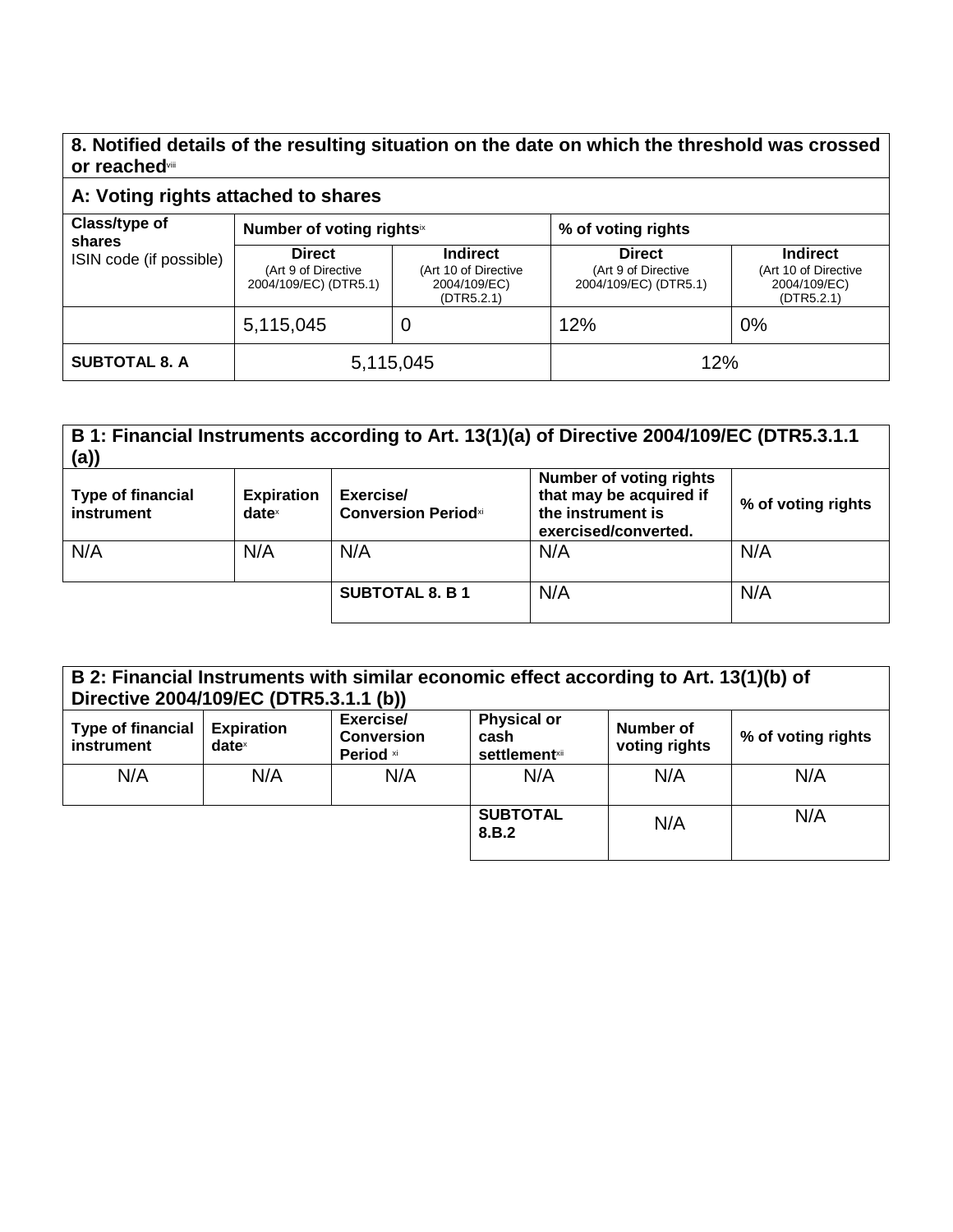### **8. Notified details of the resulting situation on the date on which the threshold was crossed or reached**viii

### **A: Voting rights attached to shares**

| Class/type of<br>shares<br>ISIN code (if possible) | Number of voting rightsix                                     |                                                                       | % of voting rights                                            |                                                                       |
|----------------------------------------------------|---------------------------------------------------------------|-----------------------------------------------------------------------|---------------------------------------------------------------|-----------------------------------------------------------------------|
|                                                    | <b>Direct</b><br>(Art 9 of Directive<br>2004/109/EC) (DTR5.1) | <b>Indirect</b><br>(Art 10 of Directive<br>2004/109/EC)<br>(DTR5.2.1) | <b>Direct</b><br>(Art 9 of Directive<br>2004/109/EC) (DTR5.1) | <b>Indirect</b><br>(Art 10 of Directive<br>2004/109/EC)<br>(DTR5.2.1) |
|                                                    | 5,115,045                                                     | U                                                                     | 12%                                                           | 0%                                                                    |
| <b>SUBTOTAL 8. A</b>                               | 5,115,045                                                     |                                                                       | 12%                                                           |                                                                       |

#### **B 1: Financial Instruments according to Art. 13(1)(a) of Directive 2004/109/EC (DTR5.3.1.1 (a)) Type of financial instrument Expiration date** x **Exercise/ Conversion Period**xi **Number of voting rights that may be acquired if the instrument is exercised/converted. % of voting rights** N/A | N/A | N/A | N/A | N/A | N/A | N/A **SUBTOTAL 8. B 1** N/A N/A

| B 2: Financial Instruments with similar economic effect according to Art. 13(1)(b) of<br>Directive 2004/109/EC (DTR5.3.1.1 (b)) |                               |                                             |                                                                |                            |                    |
|---------------------------------------------------------------------------------------------------------------------------------|-------------------------------|---------------------------------------------|----------------------------------------------------------------|----------------------------|--------------------|
| <b>Type of financial</b><br>instrument                                                                                          | <b>Expiration</b><br>$date^x$ | Exercise/<br><b>Conversion</b><br>Period xi | <b>Physical or</b><br>cash<br><b>settlement</b> <sup>xii</sup> | Number of<br>voting rights | % of voting rights |
| N/A                                                                                                                             | N/A                           | N/A                                         | N/A                                                            | N/A                        | N/A                |
|                                                                                                                                 |                               |                                             | <b>SUBTOTAL</b><br>8.B.2                                       | N/A                        | N/A                |